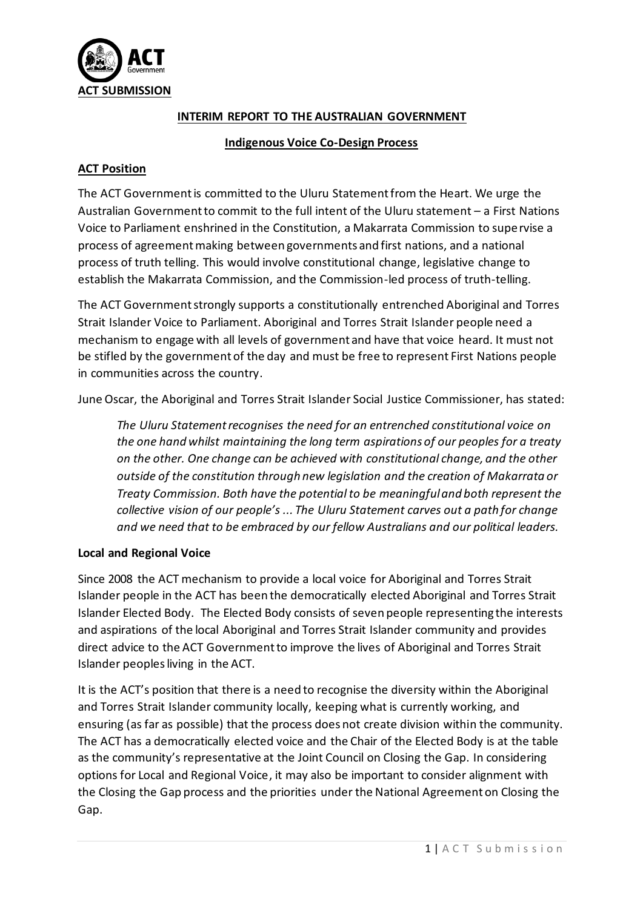

### **INTERIM REPORT TO THE AUSTRALIAN GOVERNMENT**

#### **Indigenous Voice Co-Design Process**

## **ACT Position**

The ACT Government is committed to the Uluru Statement from the Heart. We urge the Australian Government to commit to the full intent of the Uluru statement – a First Nations Voice to Parliament enshrined in the Constitution, a Makarrata Commission to supervise a process of agreement making between governments and first nations, and a national process of truth telling. This would involve constitutional change, legislative change to establish the Makarrata Commission, and the Commission-led process of truth-telling.

The ACT Government strongly supports a constitutionally entrenched Aboriginal and Torres Strait Islander Voice to Parliament. Aboriginal and Torres Strait Islander people need a mechanism to engage with all levels of government and have that voice heard. It must not be stifled by the government of the day and must be free to represent First Nations people in communities across the country.

June Oscar, the Aboriginal and Torres Strait Islander Social Justice Commissioner, has stated:

*The Uluru Statement recognises the need for an entrenched constitutional voice on the one hand whilst maintaining the long term aspirations of our peoples for a treaty on the other. One change can be achieved with constitutional change, and the other outside of the constitution through new legislation and the creation of Makarrata or Treaty Commission. Both have the potential to be meaningful and both represent the collective vision of our people's ... The Uluru Statement carves out a path for change and we need that to be embraced by our fellow Australians and our political leaders.*

# **Local and Regional Voice**

Since 2008 the ACT mechanism to provide a local voice for Aboriginal and Torres Strait Islander people in the ACT has been the democratically elected Aboriginal and Torres Strait Islander Elected Body. The Elected Body consists of seven people representing the interests and aspirations of the local Aboriginal and Torres Strait Islander community and provides direct advice to the ACT Government to improve the lives of Aboriginal and Torres Strait Islander peoples living in the ACT.

It is the ACT's position that there is a need to recognise the diversity within the Aboriginal and Torres Strait Islander community locally, keeping what is currently working, and ensuring (as far as possible) that the process does not create division within the community. The ACT has a democratically elected voice and the Chair of the Elected Body is at the table as the community's representative at the Joint Council on Closing the Gap. In considering options for Local and Regional Voice, it may also be important to consider alignment with the Closing the Gap process and the priorities under the National Agreement on Closing the Gap.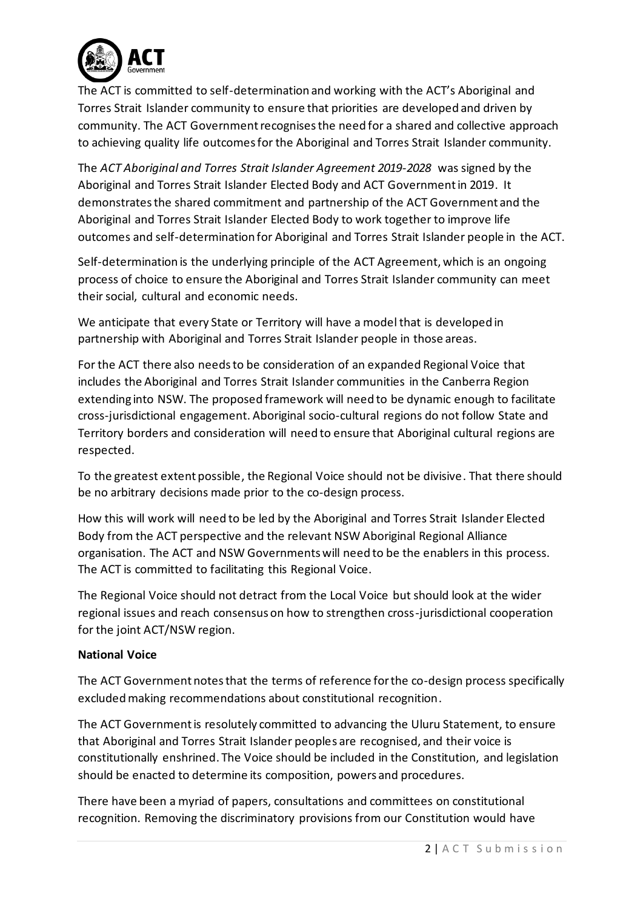

The ACT is committed to self-determination and working with the ACT's Aboriginal and Torres Strait Islander community to ensure that priorities are developed and driven by community. The ACT Government recognises the need for a shared and collective approach to achieving quality life outcomes for the Aboriginal and Torres Strait Islander community.

The *ACT Aboriginal and Torres Strait Islander Agreement 2019-2028* was signed by the Aboriginal and Torres Strait Islander Elected Body and ACT Government in 2019. It demonstrates the shared commitment and partnership of the ACT Government and the Aboriginal and Torres Strait Islander Elected Body to work together to improve life outcomes and self-determination for Aboriginal and Torres Strait Islander people in the ACT.

Self-determination is the underlying principle of the ACT Agreement, which is an ongoing process of choice to ensure the Aboriginal and Torres Strait Islander community can meet their social, cultural and economic needs.

We anticipate that every State or Territory will have a model that is developed in partnership with Aboriginal and Torres Strait Islander people in those areas.

For the ACT there also needs to be consideration of an expanded Regional Voice that includes the Aboriginal and Torres Strait Islander communities in the Canberra Region extending into NSW. The proposed framework will need to be dynamic enough to facilitate cross-jurisdictional engagement. Aboriginal socio-cultural regions do not follow State and Territory borders and consideration will need to ensure that Aboriginal cultural regions are respected.

To the greatest extent possible, the Regional Voice should not be divisive. That there should be no arbitrary decisions made prior to the co-design process.

How this will work will need to be led by the Aboriginal and Torres Strait Islander Elected Body from the ACT perspective and the relevant NSW Aboriginal Regional Alliance organisation. The ACT and NSW Governments will need to be the enablers in this process. The ACT is committed to facilitating this Regional Voice.

The Regional Voice should not detract from the Local Voice but should look at the wider regional issues and reach consensus on how to strengthen cross-jurisdictional cooperation for the joint ACT/NSW region.

# **National Voice**

The ACT Government notes that the terms of reference for the co-design process specifically excluded making recommendations about constitutional recognition.

The ACT Government is resolutely committed to advancing the Uluru Statement, to ensure that Aboriginal and Torres Strait Islander peoples are recognised, and their voice is constitutionally enshrined. The Voice should be included in the Constitution, and legislation should be enacted to determine its composition, powers and procedures.

There have been a myriad of papers, consultations and committees on constitutional recognition. Removing the discriminatory provisions from our Constitution would have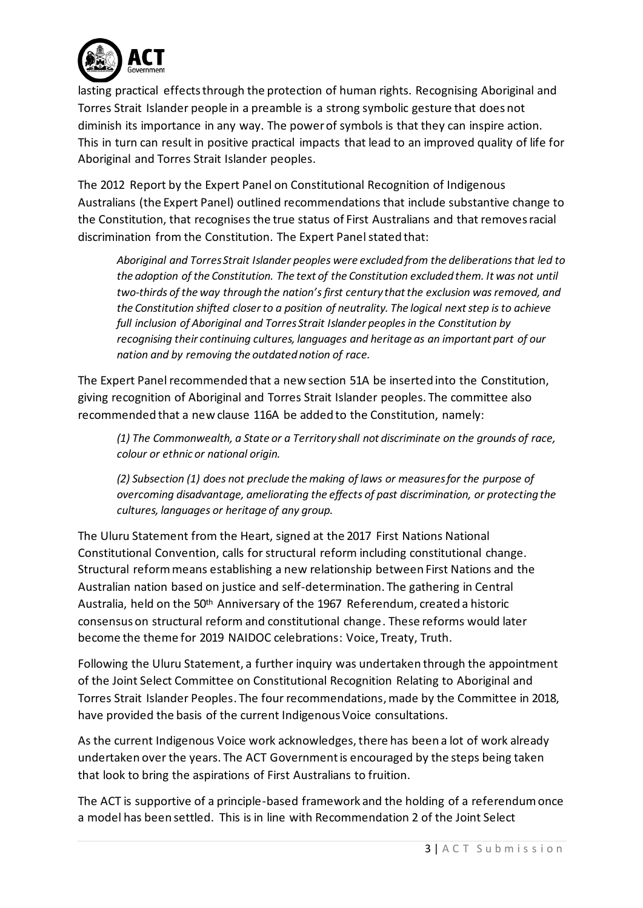

lasting practical effects through the protection of human rights. Recognising Aboriginal and Torres Strait Islander people in a preamble is a strong symbolic gesture that does not diminish its importance in any way. The power of symbols is that they can inspire action. This in turn can result in positive practical impacts that lead to an improved quality of life for Aboriginal and Torres Strait Islander peoples.

The 2012 Report by the Expert Panel on Constitutional Recognition of Indigenous Australians (the Expert Panel) outlined recommendations that include substantive change to the Constitution, that recognises the true status of First Australians and that removes racial discrimination from the Constitution. The Expert Panel stated that:

*Aboriginal and Torres Strait Islander peoples were excluded from the deliberations that led to the adoption of the Constitution. The text of the Constitution excluded them. It was not until two-thirds of the way through the nation's first century that the exclusion was removed, and the Constitution shifted closer to a position of neutrality. The logical next step is to achieve full inclusion of Aboriginal and Torres Strait Islander peoples in the Constitution by recognising their continuing cultures, languages and heritage as an important part of our nation and by removing the outdated notion of race.*

The Expert Panel recommended that a new section 51A be inserted into the Constitution, giving recognition of Aboriginal and Torres Strait Islander peoples. The committee also recommended that a new clause 116A be added to the Constitution, namely:

*(1) The Commonwealth, a State or a Territory shall not discriminate on the grounds of race, colour or ethnic or national origin.*

*(2) Subsection (1) does not preclude the making of laws or measures for the purpose of overcoming disadvantage, ameliorating the effects of past discrimination, or protecting the cultures, languages or heritage of any group.*

The Uluru Statement from the Heart, signed at the 2017 First Nations National Constitutional Convention, calls for structural reform including constitutional change. Structural reform means establishing a new relationship between First Nations and the Australian nation based on justice and self-determination. The gathering in Central Australia, held on the 50th Anniversary of the 1967 Referendum, created a historic consensus on structural reform and constitutional change. These reforms would later become the theme for 2019 NAIDOC celebrations: Voice, Treaty, Truth.

Following the Uluru Statement, a further inquiry was undertaken through the appointment of the Joint Select Committee on Constitutional Recognition Relating to Aboriginal and Torres Strait Islander Peoples. The four recommendations, made by the Committee in 2018, have provided the basis of the current Indigenous Voice consultations.

As the current Indigenous Voice work acknowledges, there has been a lot of work already undertaken over the years. The ACT Government is encouraged by the steps being taken that look to bring the aspirations of First Australians to fruition.

The ACT is supportive of a principle-based framework and the holding of a referendum once a model has been settled. This is in line with Recommendation 2 of the Joint Select